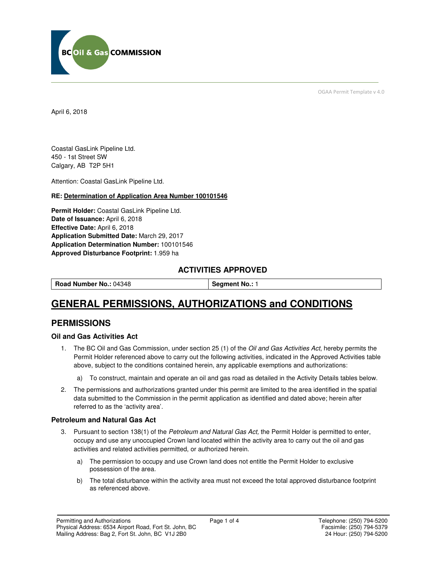

OGAA Permit Template v 4.0

April 6, 2018

Coastal GasLink Pipeline Ltd. 450 - 1st Street SW Calgary, AB T2P 5H1

Attention: Coastal GasLink Pipeline Ltd.

#### **RE: Determination of Application Area Number 100101546**

**Permit Holder:** Coastal GasLink Pipeline Ltd. **Date of Issuance:** April 6, 2018 **Effective Date:** April 6, 2018 **Application Submitted Date:** March 29, 2017 **Application Determination Number:** 100101546 **Approved Disturbance Footprint:** 1.959 ha

# **ACTIVITIES APPROVED**

| l Road Number No.: 04348 | Segment No.: 1 |
|--------------------------|----------------|
|                          |                |

# **GENERAL PERMISSIONS, AUTHORIZATIONS and CONDITIONS**

# **PERMISSIONS**

#### **Oil and Gas Activities Act**

- 1. The BC Oil and Gas Commission, under section 25 (1) of the Oil and Gas Activities Act, hereby permits the Permit Holder referenced above to carry out the following activities, indicated in the Approved Activities table above, subject to the conditions contained herein, any applicable exemptions and authorizations:
	- a) To construct, maintain and operate an oil and gas road as detailed in the Activity Details tables below.
- 2. The permissions and authorizations granted under this permit are limited to the area identified in the spatial data submitted to the Commission in the permit application as identified and dated above; herein after referred to as the 'activity area'.

### **Petroleum and Natural Gas Act**

- 3. Pursuant to section 138(1) of the Petroleum and Natural Gas Act, the Permit Holder is permitted to enter, occupy and use any unoccupied Crown land located within the activity area to carry out the oil and gas activities and related activities permitted, or authorized herein.
	- a) The permission to occupy and use Crown land does not entitle the Permit Holder to exclusive possession of the area.
	- b) The total disturbance within the activity area must not exceed the total approved disturbance footprint as referenced above.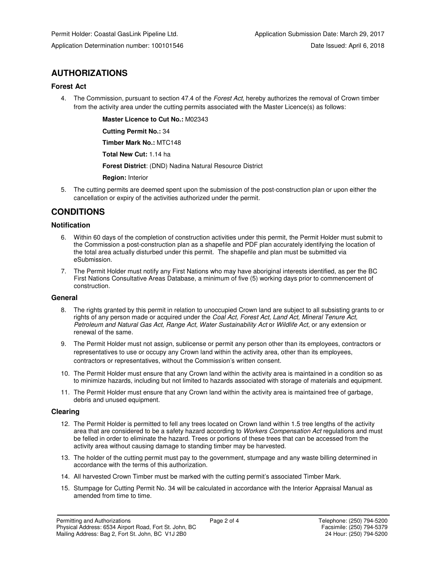# **AUTHORIZATIONS**

## **Forest Act**

4. The Commission, pursuant to section 47.4 of the Forest Act, hereby authorizes the removal of Crown timber from the activity area under the cutting permits associated with the Master Licence(s) as follows:

 **Master Licence to Cut No.:** M02343

 **Cutting Permit No.:** 34

 **Timber Mark No.:** MTC148

 **Total New Cut:** 1.14 ha

 **Forest District**: (DND) Nadina Natural Resource District

 **Region:** Interior

5. The cutting permits are deemed spent upon the submission of the post-construction plan or upon either the cancellation or expiry of the activities authorized under the permit.

# **CONDITIONS**

## **Notification**

- 6. Within 60 days of the completion of construction activities under this permit, the Permit Holder must submit to the Commission a post-construction plan as a shapefile and PDF plan accurately identifying the location of the total area actually disturbed under this permit. The shapefile and plan must be submitted via eSubmission.
- 7. The Permit Holder must notify any First Nations who may have aboriginal interests identified, as per the BC First Nations Consultative Areas Database, a minimum of five (5) working days prior to commencement of construction.

### **General**

- 8. The rights granted by this permit in relation to unoccupied Crown land are subject to all subsisting grants to or rights of any person made or acquired under the Coal Act, Forest Act, Land Act, Mineral Tenure Act, Petroleum and Natural Gas Act, Range Act, Water Sustainability Act or Wildlife Act, or any extension or renewal of the same.
- 9. The Permit Holder must not assign, sublicense or permit any person other than its employees, contractors or representatives to use or occupy any Crown land within the activity area, other than its employees, contractors or representatives, without the Commission's written consent.
- 10. The Permit Holder must ensure that any Crown land within the activity area is maintained in a condition so as to minimize hazards, including but not limited to hazards associated with storage of materials and equipment.
- 11. The Permit Holder must ensure that any Crown land within the activity area is maintained free of garbage, debris and unused equipment.

### **Clearing**

- 12. The Permit Holder is permitted to fell any trees located on Crown land within 1.5 tree lengths of the activity area that are considered to be a safety hazard according to Workers Compensation Act regulations and must be felled in order to eliminate the hazard. Trees or portions of these trees that can be accessed from the activity area without causing damage to standing timber may be harvested.
- 13. The holder of the cutting permit must pay to the government, stumpage and any waste billing determined in accordance with the terms of this authorization.
- 14. All harvested Crown Timber must be marked with the cutting permit's associated Timber Mark.
- 15. Stumpage for Cutting Permit No. 34 will be calculated in accordance with the Interior Appraisal Manual as amended from time to time.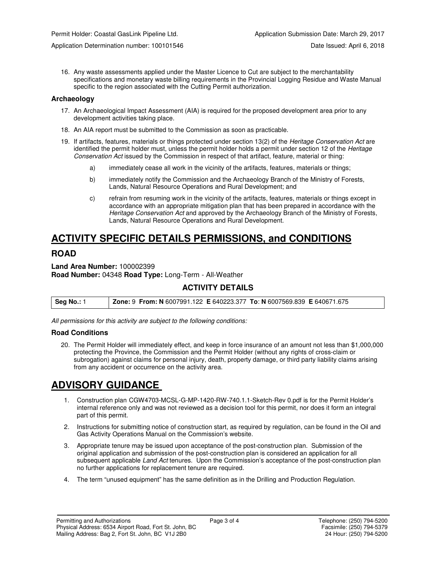16. Any waste assessments applied under the Master Licence to Cut are subject to the merchantability specifications and monetary waste billing requirements in the Provincial Logging Residue and Waste Manual specific to the region associated with the Cutting Permit authorization.

#### **Archaeology**

- 17. An Archaeological Impact Assessment (AIA) is required for the proposed development area prior to any development activities taking place.
- 18. An AIA report must be submitted to the Commission as soon as practicable.
- 19. If artifacts, features, materials or things protected under section 13(2) of the Heritage Conservation Act are identified the permit holder must, unless the permit holder holds a permit under section 12 of the Heritage Conservation Act issued by the Commission in respect of that artifact, feature, material or thing:
	- a) immediately cease all work in the vicinity of the artifacts, features, materials or things;
	- b) immediately notify the Commission and the Archaeology Branch of the Ministry of Forests, Lands, Natural Resource Operations and Rural Development; and
	- c) refrain from resuming work in the vicinity of the artifacts, features, materials or things except in accordance with an appropriate mitigation plan that has been prepared in accordance with the Heritage Conservation Act and approved by the Archaeology Branch of the Ministry of Forests, Lands, Natural Resource Operations and Rural Development.

# **ACTIVITY SPECIFIC DETAILS PERMISSIONS, and CONDITIONS**

# **ROAD**

**Land Area Number:** 100002399 **Road Number:** 04348 **Road Type:** Long-Term - All-Weather

# **ACTIVITY DETAILS**

| Seg No.: 1 | <b>Zone: 9 From: N</b> 6007991.122 <b>E</b> 640223.377 To: N 6007569.839 <b>E</b> 640671.675 |  |
|------------|----------------------------------------------------------------------------------------------|--|
|------------|----------------------------------------------------------------------------------------------|--|

All permissions for this activity are subject to the following conditions:

#### **Road Conditions**

20. The Permit Holder will immediately effect, and keep in force insurance of an amount not less than \$1,000,000 protecting the Province, the Commission and the Permit Holder (without any rights of cross-claim or subrogation) against claims for personal injury, death, property damage, or third party liability claims arising from any accident or occurrence on the activity area.

# **ADVISORY GUIDANCE**

- 1. Construction plan CGW4703-MCSL-G-MP-1420-RW-740.1.1-Sketch-Rev 0.pdf is for the Permit Holder's internal reference only and was not reviewed as a decision tool for this permit, nor does it form an integral part of this permit.
- 2. Instructions for submitting notice of construction start, as required by regulation, can be found in the Oil and Gas Activity Operations Manual on the Commission's website.
- 3. Appropriate tenure may be issued upon acceptance of the post-construction plan. Submission of the original application and submission of the post-construction plan is considered an application for all subsequent applicable Land Act tenures. Upon the Commission's acceptance of the post-construction plan no further applications for replacement tenure are required.
- 4. The term "unused equipment" has the same definition as in the Drilling and Production Regulation.